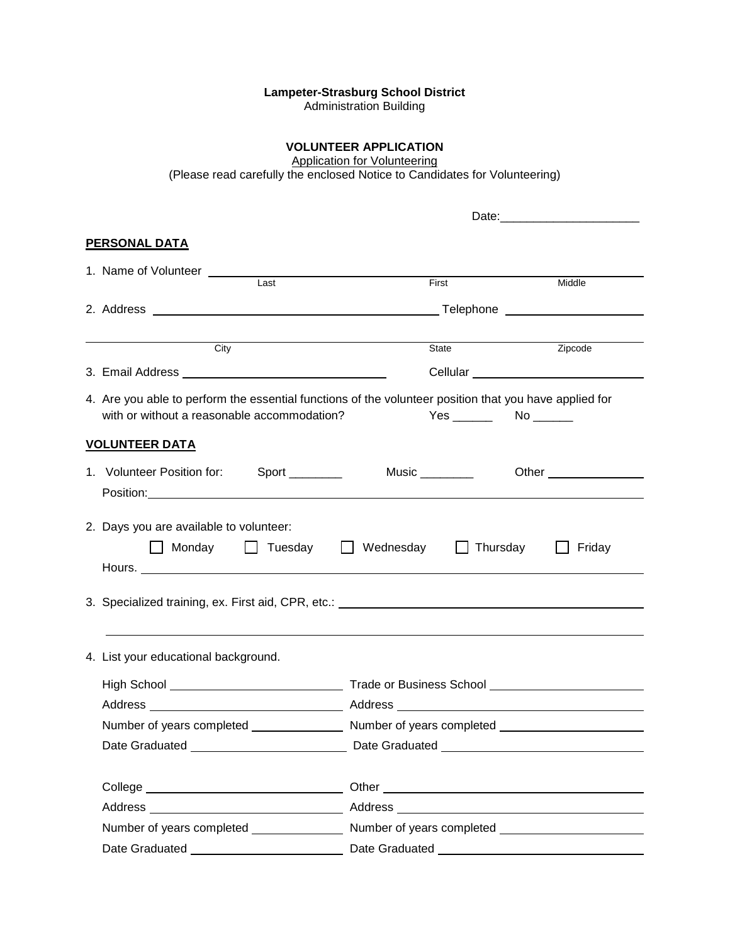#### **Lampeter-Strasburg School District**

Administration Building

# **VOLUNTEER APPLICATION**

Application for Volunteering

(Please read carefully the enclosed Notice to Candidates for Volunteering)

| <b>PERSONAL DATA</b>                                                                                                                                                                                                           |                                                                                                                                                                                                                                                                                   |        |
|--------------------------------------------------------------------------------------------------------------------------------------------------------------------------------------------------------------------------------|-----------------------------------------------------------------------------------------------------------------------------------------------------------------------------------------------------------------------------------------------------------------------------------|--------|
|                                                                                                                                                                                                                                |                                                                                                                                                                                                                                                                                   |        |
| Last                                                                                                                                                                                                                           | First<br>Middle                                                                                                                                                                                                                                                                   |        |
|                                                                                                                                                                                                                                |                                                                                                                                                                                                                                                                                   |        |
|                                                                                                                                                                                                                                |                                                                                                                                                                                                                                                                                   |        |
| City                                                                                                                                                                                                                           | Zipcode<br>State                                                                                                                                                                                                                                                                  |        |
|                                                                                                                                                                                                                                |                                                                                                                                                                                                                                                                                   |        |
| with or without a reasonable accommodation?                                                                                                                                                                                    | 4. Are you able to perform the essential functions of the volunteer position that you have applied for                                                                                                                                                                            |        |
| <u>VOLUNTEER DATA</u>                                                                                                                                                                                                          |                                                                                                                                                                                                                                                                                   |        |
| 1. Volunteer Position for: Sport ________                                                                                                                                                                                      | Music _________<br>Other the contract of the contract of the contract of the contract of the contract of the contract of the contract of the contract of the contract of the contract of the contract of the contract of the contract of the cont                                 |        |
| Position: Network and the second service of the service of the service of the service of the service of the service of the service of the service of the service of the service of the service of the service of the service o |                                                                                                                                                                                                                                                                                   |        |
| 2. Days you are available to volunteer:                                                                                                                                                                                        | □ Monday □ Tuesday □ Wednesday □ Thursday<br>3. Specialized training, ex. First aid, CPR, etc.: <b>All and Stephan and Stephan and Stephan and Stephan and Stephan and Stephan and Stephan and Stephan and Stephan and Stephan and Stephan and Stephan and Stephan and Stepha</b> | Friday |
|                                                                                                                                                                                                                                |                                                                                                                                                                                                                                                                                   |        |
| 4. List your educational background.                                                                                                                                                                                           |                                                                                                                                                                                                                                                                                   |        |
|                                                                                                                                                                                                                                |                                                                                                                                                                                                                                                                                   |        |
|                                                                                                                                                                                                                                |                                                                                                                                                                                                                                                                                   |        |
|                                                                                                                                                                                                                                |                                                                                                                                                                                                                                                                                   |        |
|                                                                                                                                                                                                                                |                                                                                                                                                                                                                                                                                   |        |
|                                                                                                                                                                                                                                |                                                                                                                                                                                                                                                                                   |        |
|                                                                                                                                                                                                                                |                                                                                                                                                                                                                                                                                   |        |
|                                                                                                                                                                                                                                |                                                                                                                                                                                                                                                                                   |        |
|                                                                                                                                                                                                                                |                                                                                                                                                                                                                                                                                   |        |
| Date Graduated __________________________                                                                                                                                                                                      |                                                                                                                                                                                                                                                                                   |        |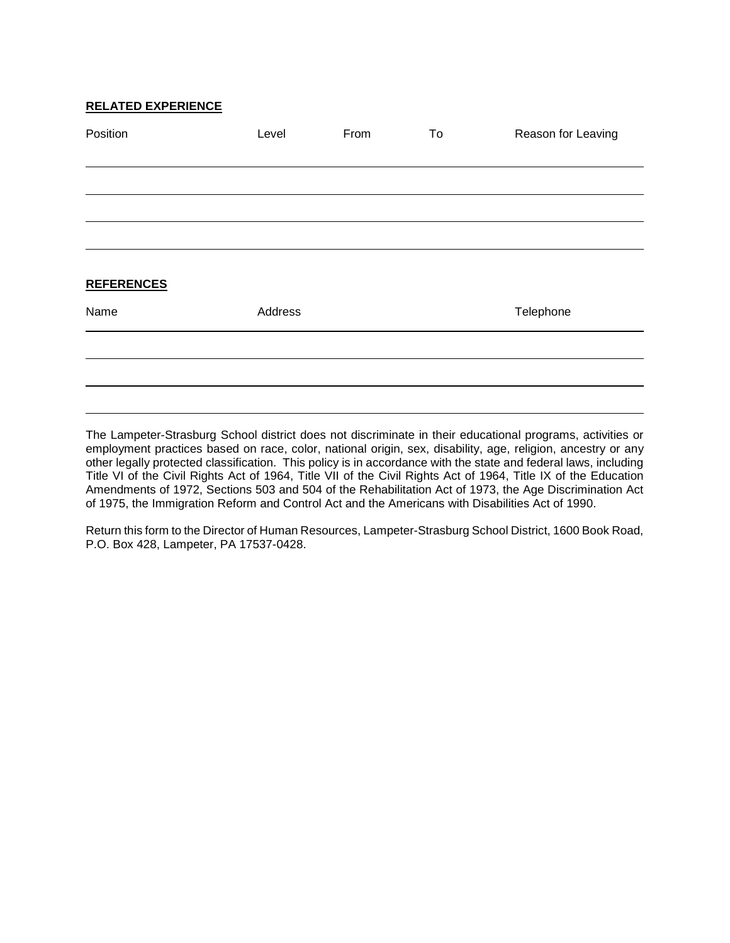#### **RELATED EXPERIENCE**

| Position          | Level   | From | To | Reason for Leaving |
|-------------------|---------|------|----|--------------------|
|                   |         |      |    |                    |
|                   |         |      |    |                    |
|                   |         |      |    |                    |
|                   |         |      |    |                    |
|                   |         |      |    |                    |
| <b>REFERENCES</b> |         |      |    |                    |
| Name              | Address |      |    | Telephone          |
|                   |         |      |    |                    |
|                   |         |      |    |                    |
|                   |         |      |    |                    |

The Lampeter-Strasburg School district does not discriminate in their educational programs, activities or employment practices based on race, color, national origin, sex, disability, age, religion, ancestry or any other legally protected classification. This policy is in accordance with the state and federal laws, including Title VI of the Civil Rights Act of 1964, Title VII of the Civil Rights Act of 1964, Title IX of the Education Amendments of 1972, Sections 503 and 504 of the Rehabilitation Act of 1973, the Age Discrimination Act of 1975, the Immigration Reform and Control Act and the Americans with Disabilities Act of 1990.

Return this form to the Director of Human Resources, Lampeter-Strasburg School District, 1600 Book Road, P.O. Box 428, Lampeter, PA 17537-0428.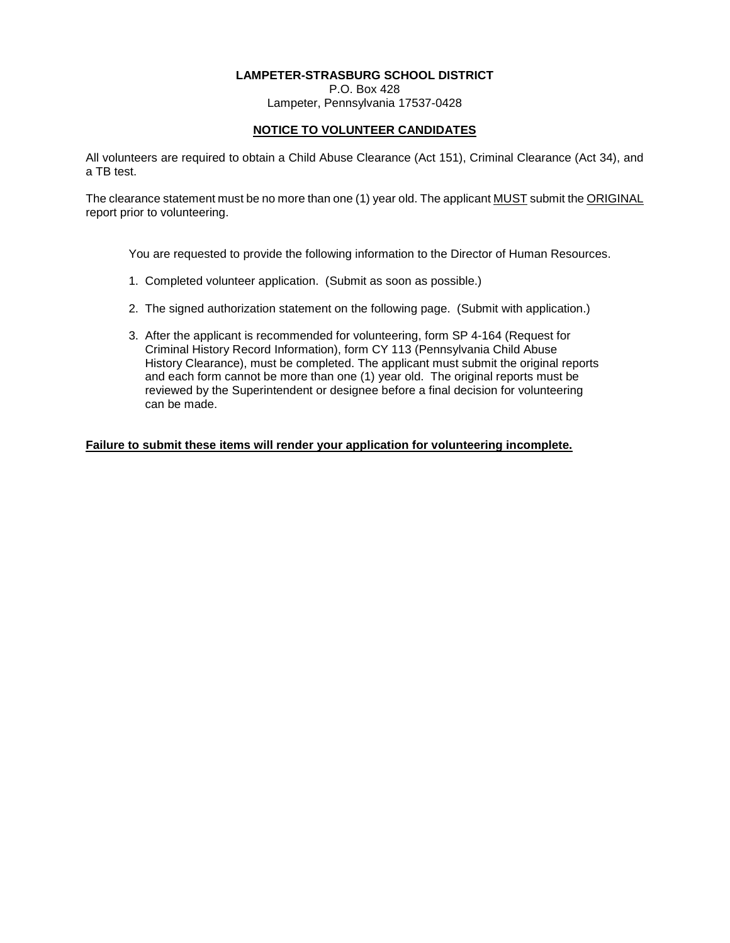# **LAMPETER-STRASBURG SCHOOL DISTRICT**

P.O. Box 428 Lampeter, Pennsylvania 17537-0428

# **NOTICE TO VOLUNTEER CANDIDATES**

All volunteers are required to obtain a Child Abuse Clearance (Act 151), Criminal Clearance (Act 34), and a TB test.

The clearance statement must be no more than one (1) year old. The applicant MUST submit the ORIGINAL report prior to volunteering.

You are requested to provide the following information to the Director of Human Resources.

- 1. Completed volunteer application. (Submit as soon as possible.)
- 2. The signed authorization statement on the following page. (Submit with application.)
- 3. After the applicant is recommended for volunteering, form SP 4-164 (Request for Criminal History Record Information), form CY 113 (Pennsylvania Child Abuse History Clearance), must be completed. The applicant must submit the original reports and each form cannot be more than one (1) year old. The original reports must be reviewed by the Superintendent or designee before a final decision for volunteering can be made.

**Failure to submit these items will render your application for volunteering incomplete.**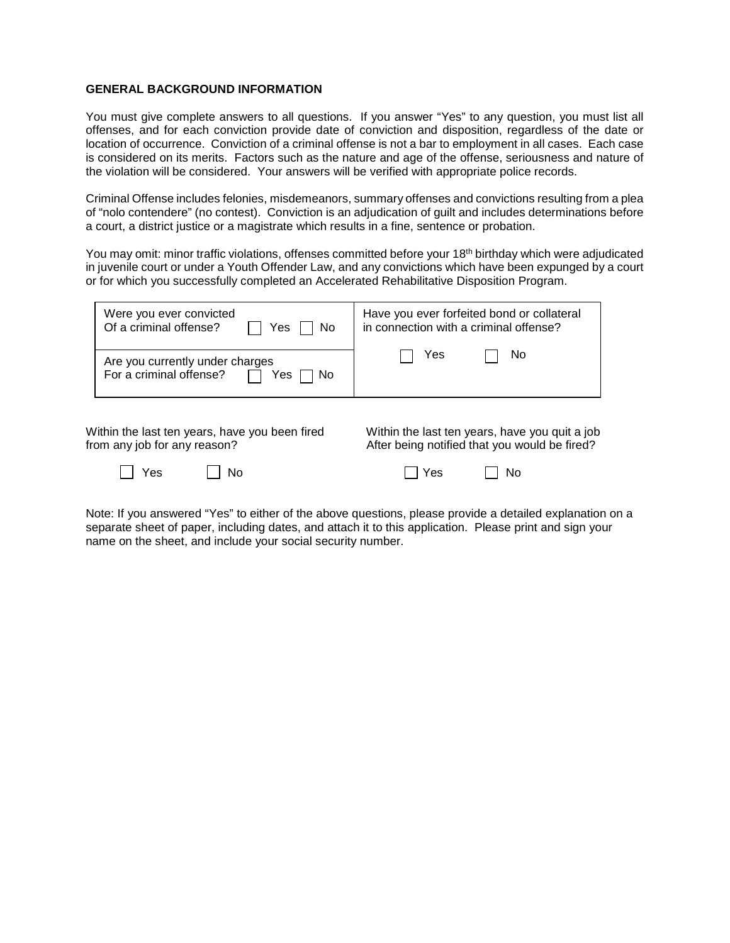#### **GENERAL BACKGROUND INFORMATION**

You must give complete answers to all questions. If you answer "Yes" to any question, you must list all offenses, and for each conviction provide date of conviction and disposition, regardless of the date or location of occurrence. Conviction of a criminal offense is not a bar to employment in all cases. Each case is considered on its merits. Factors such as the nature and age of the offense, seriousness and nature of the violation will be considered. Your answers will be verified with appropriate police records.

Criminal Offense includes felonies, misdemeanors, summary offenses and convictions resulting from a plea of "nolo contendere" (no contest). Conviction is an adjudication of guilt and includes determinations before a court, a district justice or a magistrate which results in a fine, sentence or probation.

You may omit: minor traffic violations, offenses committed before your 18<sup>th</sup> birthday which were adjudicated in juvenile court or under a Youth Offender Law, and any convictions which have been expunged by a court or for which you successfully completed an Accelerated Rehabilitative Disposition Program.

| Were you ever convicted<br>Of a criminal offense?<br>$\cdot$ Yes   '<br>l No | Have you ever forfeited bond or collateral<br>in connection with a criminal offense? |
|------------------------------------------------------------------------------|--------------------------------------------------------------------------------------|
| Are you currently under charges<br>For a criminal offense?<br>Yes<br>No.     | No.<br>Yes                                                                           |

Within the last ten years, have you been fired Within the last ten years, have you quit a job<br>from any job for any reason?  $\overline{\phantom{a}}$  After being notified that you would be fired?

| $\overline{\phantom{0}}$<br>w |  |  |
|-------------------------------|--|--|
|-------------------------------|--|--|

After being notified that you would be fired?

| 」Yes | $\vert$   No | $\Box$ Yes |  | $\Box$ No |
|------|--------------|------------|--|-----------|
|------|--------------|------------|--|-----------|

Note: If you answered "Yes" to either of the above questions, please provide a detailed explanation on a separate sheet of paper, including dates, and attach it to this application. Please print and sign your name on the sheet, and include your social security number.